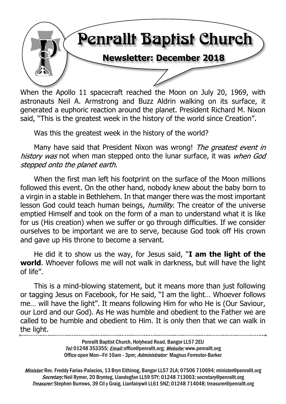

When the Apollo 11 spacecraft reached the Moon on July 20, 1969, with astronauts Neil A. Armstrong and Buzz Aldrin walking on its surface, it generated a euphoric reaction around the planet. President Richard M. Nixon said, "This is the greatest week in the history of the world since Creation".

Was this the greatest week in the history of the world?

Many have said that President Nixon was wrong! The greatest event in history was not when man stepped onto the lunar surface, it was when God stepped onto the planet earth.

When the first man left his footprint on the surface of the Moon millions followed this event. On the other hand, nobody knew about the baby born to a virgin in a stable in Bethlehem. In that manger there was the most important lesson God could teach human beings, *humility*. The creator of the universe emptied Himself and took on the form of a man to understand what it is like for us (His creation) when we suffer or go through difficulties. If we consider ourselves to be important we are to serve, because God took off His crown and gave up His throne to become a servant.

He did it to show us the way, for Jesus said, "**I am the light of the world**. Whoever follows me will not walk in darkness, but will have the light of life".

This is a mind-blowing statement, but it means more than just following or tagging Jesus on Facebook, for He said, "I am the light… Whoever follows me… will have the light". It means following Him for who He is (Our Saviour, our Lord and our God). As He was humble and obedient to the Father we are called to be humble and obedient to Him. It is only then that we can walk in the light.

> Penrallt Baptist Church, Holyhead Road, Bangor LL57 2EU Tel:01248 353355; Email: office@penrallt.org; Website: www.penrallt.org Office open Mon-Fri 10am - 3pm; Administrator: Magnus Forrester-Barker

Minister: Rev. Freddy Farias-Palacios, 13 Bryn Eithinog, Bangor LL57 2LA; 07506 710694; minister@penrallt.org Secretary: Neil Rymer, 20 Brynteg, Llandegfan LL59 5TY; 01248 713003; secretary@penrallt.org Treasurer: Stephen Burrows, 39 Cil y Graig, Llanfairpwll LL61 5NZ; 01248 714048; treasurer@penrallt.org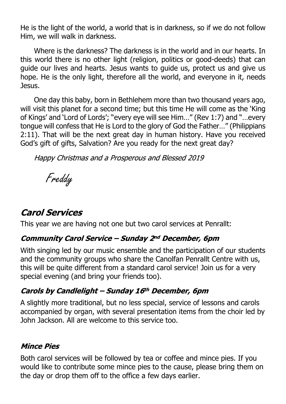He is the light of the world, a world that is in darkness, so if we do not follow Him, we will walk in darkness.

Where is the darkness? The darkness is in the world and in our hearts. In this world there is no other light (religion, politics or good-deeds) that can guide our lives and hearts. Jesus wants to guide us, protect us and give us hope. He is the only light, therefore all the world, and everyone in it, needs Jesus.

One day this baby, born in Bethlehem more than two thousand years ago, will visit this planet for a second time; but this time He will come as the 'King of Kings' and 'Lord of Lords'; "every eye will see Him…" (Rev 1:7) and "…every tongue will confess that He is Lord to the glory of God the Father…" (Philippians 2:11). That will be the next great day in human history. Have you received God's gift of gifts, Salvation? Are you ready for the next great day?

Happy Christmas and a Prosperous and Blessed 2019

Freddy

# **Carol Services**

This year we are having not one but two carol services at Penrallt:

# **Community Carol Service - Sunday 2nd December, 6pm**

With singing led by our music ensemble and the participation of our students and the community groups who share the Canolfan Penrallt Centre with us, this will be quite different from a standard carol service! Join us for a very special evening (and bring your friends too).

# Carols by Candlelight - Sunday 16th December, 6pm

A slightly more traditional, but no less special, service of lessons and carols accompanied by organ, with several presentation items from the choir led by John Jackson. All are welcome to this service too.

#### **Mince Pies**

Both carol services will be followed by tea or coffee and mince pies. If you would like to contribute some mince pies to the cause, please bring them on the day or drop them off to the office a few days earlier.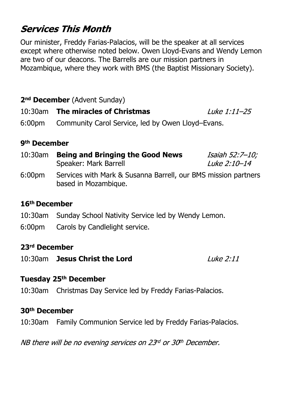# **Services This Month**

Our minister, Freddy Farias-Palacios, will be the speaker at all services except where otherwise noted below. Owen Lloyd-Evans and Wendy Lemon are two of our deacons. The Barrells are our mission partners in Mozambique, where they work with BMS (the Baptist Missionary Society).

### **2nd December** (Advent Sunday)

#### 10:30am **The miracles of Christmas** Luke 1:11-25

6:00pm Community Carol Service, led by Owen Lloyd–Evans.

#### **9th December**

| 10:30am | <b>Being and Bringing the Good News</b>                       | Isaiah 52:7–10;     |
|---------|---------------------------------------------------------------|---------------------|
|         | Speaker: Mark Barrell                                         | <i>Luke 2:10-14</i> |
| 6.00nm  | Services with Mark & Susanna Barrell our RMS mission partners |                     |

6:00pm Services with Mark & Susanna Barrell, our BMS mission partners based in Mozambique.

#### **16th December**

- 10:30am Sunday School Nativity Service led by Wendy Lemon.
- 6:00pm Carols by Candlelight service.

#### **23rd December**

10:30am **Jesus Christ the Lord**

 $I$ uke 2:11

#### **Tuesday 25th December**

10:30am Christmas Day Service led by Freddy Farias-Palacios.

#### **30th December**

10:30am Family Communion Service led by Freddy Farias-Palacios.

NB there will be no evening services on 23rd or 30th December.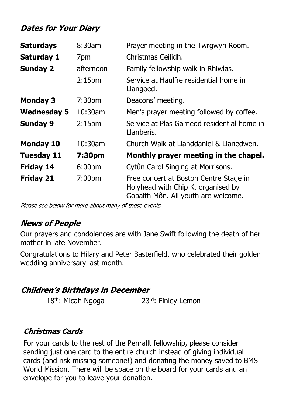# **Dates for Your Diary**

| <b>Saturdays</b>   | 8:30am             | Prayer meeting in the Twrgwyn Room.                                                                                 |
|--------------------|--------------------|---------------------------------------------------------------------------------------------------------------------|
| <b>Saturday 1</b>  | 7pm                | Christmas Ceilidh.                                                                                                  |
| <b>Sunday 2</b>    | afternoon          | Family fellowship walk in Rhiwlas.                                                                                  |
|                    | 2:15 <sub>pm</sub> | Service at Haulfre residential home in<br>Llangoed.                                                                 |
| <b>Monday 3</b>    | 7:30 <sub>pm</sub> | Deacons' meeting.                                                                                                   |
| <b>Wednesday 5</b> | $10:30$ am         | Men's prayer meeting followed by coffee.                                                                            |
| <b>Sunday 9</b>    | 2:15 <sub>pm</sub> | Service at Plas Garnedd residential home in<br>Llanberis.                                                           |
| <b>Monday 10</b>   | $10:30$ am         | Church Walk at Llanddaniel & Llanedwen.                                                                             |
| <b>Tuesday 11</b>  | 7:30pm             | Monthly prayer meeting in the chapel.                                                                               |
| <b>Friday 14</b>   | 6:00pm             | Cytûn Carol Singing at Morrisons.                                                                                   |
| <b>Friday 21</b>   | 7:00 <sub>pm</sub> | Free concert at Boston Centre Stage in<br>Holyhead with Chip K, organised by<br>Gobaith Môn. All youth are welcome. |

Please see below for more about many of these events.

# **News of People**

Our prayers and condolences are with Jane Swift following the death of her mother in late November.

Congratulations to Hilary and Peter Basterfield, who celebrated their golden wedding anniversary last month.

# **Children's Birthdays in December**

```
18<sup>th</sup>: Micah Ngoga 23<sup>rd</sup>: Finley Lemon
```
# **Christmas Cards**

For your cards to the rest of the Penrallt fellowship, please consider sending just one card to the entire church instead of giving individual cards (and risk missing someone!) and donating the money saved to BMS World Mission. There will be space on the board for your cards and an envelope for you to leave your donation.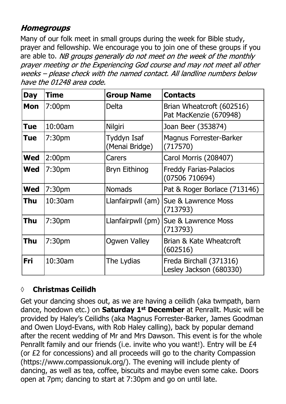# **Homegroups**

Many of our folk meet in small groups during the week for Bible study, prayer and fellowship. We encourage you to join one of these groups if you are able to. NB groups generally do not meet on the week of the monthly prayer meeting or the Experiencing God course and may not meet all other weeks - please check with the named contact. All landline numbers below have the 01248 area code.

| <b>Day</b> | <b>Time</b>        | <b>Group Name</b>             | <b>Contacts</b>                                     |
|------------|--------------------|-------------------------------|-----------------------------------------------------|
| Mon        | 7:00 <sub>pm</sub> | Delta                         | Brian Wheatcroft (602516)<br>Pat MacKenzie (670948) |
| <b>Tue</b> | 10:00am            | Nilgiri                       | Joan Beer (353874)                                  |
| <b>Tue</b> | 7:30 <sub>pm</sub> | Tyddyn Isaf<br>(Menai Bridge) | <b>Magnus Forrester-Barker</b><br>(717570)          |
| <b>Wed</b> | 2:00 <sub>pm</sub> | Carers                        | Carol Morris (208407)                               |
| <b>Wed</b> | 7:30pm             | <b>Bryn Eithinog</b>          | <b>Freddy Farias-Palacios</b><br>(07506710694)      |
| <b>Wed</b> | 7:30 <sub>pm</sub> | <b>Nomads</b>                 | Pat & Roger Borlace (713146)                        |
| <b>Thu</b> | 10:30am            | Llanfairpwll (am)             | Sue & Lawrence Moss<br>(713793)                     |
| Thu        | 7:30 <sub>pm</sub> | Llanfairpwll (pm)             | Sue & Lawrence Moss<br>(713793)                     |
| Thu        | 7:30 <sub>pm</sub> | <b>Ogwen Valley</b>           | Brian & Kate Wheatcroft<br>(602516)                 |
| <b>Fri</b> | 10:30am            | The Lydias                    | Freda Birchall (371316)<br>Lesley Jackson (680330)  |

#### **◊ Christmas Ceilidh**

Get your dancing shoes out, as we are having a ceilidh (aka twmpath, barn dance, hoedown etc.) on **Saturday 1st December** at Penrallt. Music will be provided by Haley's Ceilidhs (aka Magnus Forrester-Barker, James Goodman and Owen Lloyd-Evans, with Rob Haley calling), back by popular demand after the recent wedding of Mr and Mrs Dawson. This event is for the whole Penrallt family and our friends (i.e. invite who you want!). Entry will be £4 (or £2 for concessions) and all proceeds will go to the charity Compassion (https://www.compassionuk.org/). The evening will include plenty of dancing, as well as tea, coffee, biscuits and maybe even some cake. Doors open at 7pm; dancing to start at 7:30pm and go on until late.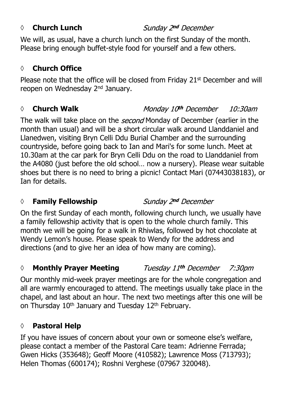#### *◊* **Church Lunch**

Sunday 2nd December

We will, as usual, have a church lunch on the first Sunday of the month. Please bring enough buffet-style food for yourself and a few others.

### **◊ Church Office**

Please note that the office will be closed from Friday 21<sup>st</sup> December and will reopen on Wednesday 2nd January.

#### *◊* **Church Walk**

#### Monday 10<sup>th</sup> December 10:30am

The walk will take place on the *second* Monday of December (earlier in the month than usual) and will be a short circular walk around Llanddaniel and Llanedwen, visiting Bryn Celli Ddu Burial Chamber and the surrounding countryside, before going back to Ian and Mari's for some lunch. Meet at 10.30am at the car park for Bryn Celli Ddu on the road to Llanddaniel from the A4080 (just before the old school… now a nursery). Please wear suitable shoes but there is no need to bring a picnic! Contact Mari (07443038183), or Ian for details.

#### **◊ Family Fellowship**

Sunday 2nd December

On the first Sunday of each month, following church lunch, we usually have a family fellowship activity that is open to the whole church family. This month we will be going for a walk in Rhiwlas, followed by hot chocolate at Wendy Lemon's house. Please speak to Wendy for the address and directions (and to give her an idea of how many are coming).

#### *◊* **Monthly Prayer Meeting** Tuesday 11th December 7:30*pm*

Our monthly mid-week prayer meetings are for the whole congregation and all are warmly encouraged to attend. The meetings usually take place in the chapel, and last about an hour. The next two meetings after this one will be on Thursday 10<sup>th</sup> January and Tuesday 12<sup>th</sup> February.

# **◊ Pastoral Help**

If you have issues of concern about your own or someone else's welfare, please contact a member of the Pastoral Care team: Adrienne Ferrada; Gwen Hicks (353648); Geoff Moore (410582); Lawrence Moss (713793); Helen Thomas (600174); Roshni Verghese (07967 320048).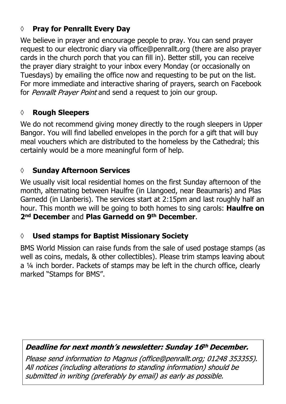# **◊ Pray for Penrallt Every Day**

We believe in prayer and encourage people to pray. You can send prayer request to our electronic diary via office@penrallt.org (there are also prayer cards in the church porch that you can fill in). Better still, you can receive the prayer diary straight to your inbox every Monday (or occasionally on Tuesdays) by emailing the office now and requesting to be put on the list. For more immediate and interactive sharing of prayers, search on Facebook for Penrallt Prayer Point and send a request to join our group.

### **◊ Rough Sleepers**

We do not recommend giving money directly to the rough sleepers in Upper Bangor. You will find labelled envelopes in the porch for a gift that will buy meal vouchers which are distributed to the homeless by the Cathedral; this certainly would be a more meaningful form of help.

# **◊ Sunday Afternoon Services**

We usually visit local residential homes on the first Sunday afternoon of the month, alternating between Haulfre (in Llangoed, near Beaumaris) and Plas Garnedd (in Llanberis). The services start at 2:15pm and last roughly half an hour. This month we will be going to both homes to sing carols: **Haulfre on 2nd December** and **Plas Garnedd on 9th December**.

# **◊ Used stamps for Baptist Missionary Society**

BMS World Mission can raise funds from the sale of used postage stamps (as well as coins, medals, & other collectibles). Please trim stamps leaving about a ¼ inch border. Packets of stamps may be left in the church office, clearly marked "Stamps for BMS".

# Deadline for next month's newsletter: Sunday 16th December.

Please send information to Magnus (office@penrallt.org; 01248 353355). All notices (including alterations to standing information) should be submitted in writing (preferably by email) as early as possible.